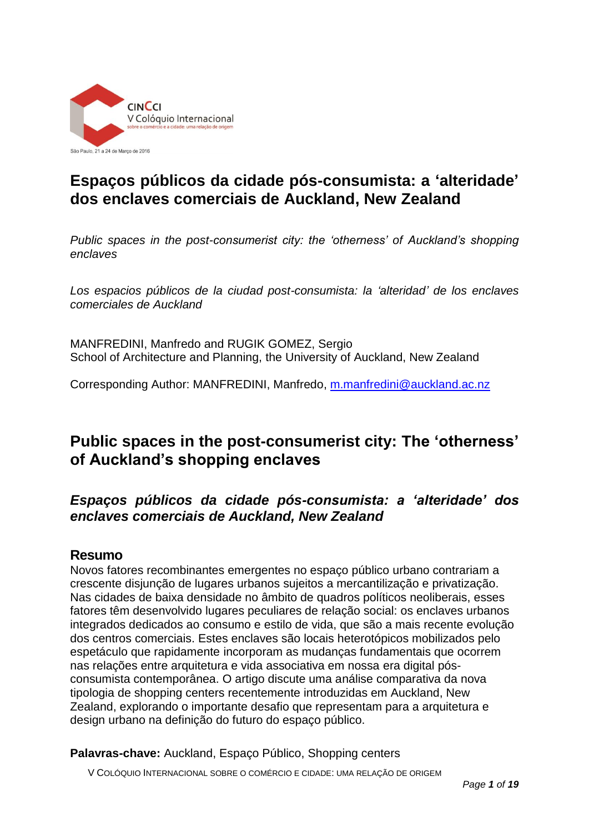

# **Espaços públicos da cidade pós-consumista: a 'alteridade' dos enclaves comerciais de Auckland, New Zealand**

*Public spaces in the post-consumerist city: the 'otherness' of Auckland's shopping enclaves* 

*Los espacios públicos de la ciudad post-consumista: la 'alteridad' de los enclaves comerciales de Auckland*

MANFREDINI, Manfredo and RUGIK GOMEZ, Sergio School of Architecture and Planning, the University of Auckland, New Zealand

Corresponding Author: MANFREDINI, Manfredo, [m.manfredini@auckland.ac.nz](mailto:m.manfredini@auckland.ac.nz) 

## **Public spaces in the post-consumerist city: The 'otherness' of Auckland's shopping enclaves**

## *Espaços públicos da cidade pós-consumista: a 'alteridade' dos enclaves comerciais de Auckland, New Zealand*

#### **Resumo**

Novos fatores recombinantes emergentes no espaço público urbano contrariam a crescente disjunção de lugares urbanos sujeitos a mercantilização e privatização. Nas cidades de baixa densidade no âmbito de quadros políticos neoliberais, esses fatores têm desenvolvido lugares peculiares de relação social: os enclaves urbanos integrados dedicados ao consumo e estilo de vida, que são a mais recente evolução dos centros comerciais. Estes enclaves são locais heterotópicos mobilizados pelo espetáculo que rapidamente incorporam as mudanças fundamentais que ocorrem nas relações entre arquitetura e vida associativa em nossa era digital pósconsumista contemporânea. O artigo discute uma análise comparativa da nova tipologia de shopping centers recentemente introduzidas em Auckland, New Zealand, explorando o importante desafio que representam para a arquitetura e design urbano na definição do futuro do espaço público.

**Palavras-chave:** Auckland, Espaço Público, Shopping centers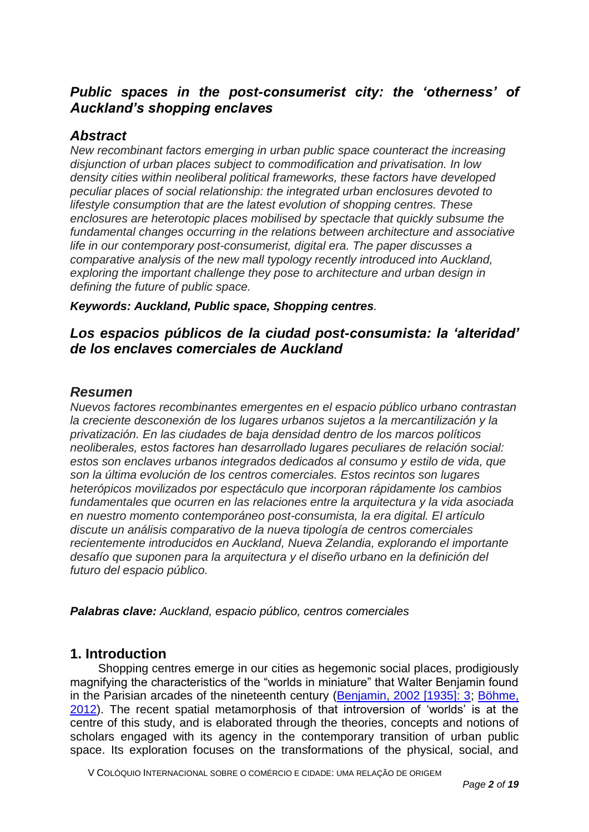## *Public spaces in the post-consumerist city: the 'otherness' of Auckland's shopping enclaves*

#### *Abstract*

*New recombinant factors emerging in urban public space counteract the increasing disjunction of urban places subject to commodification and privatisation. In low density cities within neoliberal political frameworks, these factors have developed peculiar places of social relationship: the integrated urban enclosures devoted to lifestyle consumption that are the latest evolution of shopping centres. These enclosures are heterotopic places mobilised by spectacle that quickly subsume the fundamental changes occurring in the relations between architecture and associative life in our contemporary post-consumerist, digital era. The paper discusses a comparative analysis of the new mall typology recently introduced into Auckland, exploring the important challenge they pose to architecture and urban design in defining the future of public space.*

*Keywords: Auckland, Public space, Shopping centres.* 

## *Los espacios públicos de la ciudad post-consumista: la 'alteridad' de los enclaves comerciales de Auckland*

#### *Resumen*

*Nuevos factores recombinantes emergentes en el espacio público urbano contrastan la creciente desconexión de los lugares urbanos sujetos a la mercantilización y la privatización. En las ciudades de baja densidad dentro de los marcos políticos neoliberales, estos factores han desarrollado lugares peculiares de relación social: estos son enclaves urbanos integrados dedicados al consumo y estilo de vida, que son la última evolución de los centros comerciales. Estos recintos son lugares heterópicos movilizados por espectáculo que incorporan rápidamente los cambios fundamentales que ocurren en las relaciones entre la arquitectura y la vida asociada en nuestro momento contemporáneo post-consumista, la era digital. El artículo discute un análisis comparativo de la nueva tipología de centros comerciales recientemente introducidos en Auckland, Nueva Zelandia, explorando el importante desafío que suponen para la arquitectura y el diseño urbano en la definición del futuro del espacio público.*

*Palabras clave: Auckland, espacio público, centros comerciales*

## **1. Introduction**

Shopping centres emerge in our cities as hegemonic social places, prodigiously magnifying the characteristics of the "worlds in miniature" that Walter Benjamin found in the Parisian arcades of the nineteenth century (Benjamin, 2002 [1935]: 3; Böhme, 2012). The recent spatial metamorphosis of that introversion of 'worlds' is at the centre of this study, and is elaborated through the theories, concepts and notions of scholars engaged with its agency in the contemporary transition of urban public space. Its exploration focuses on the transformations of the physical, social, and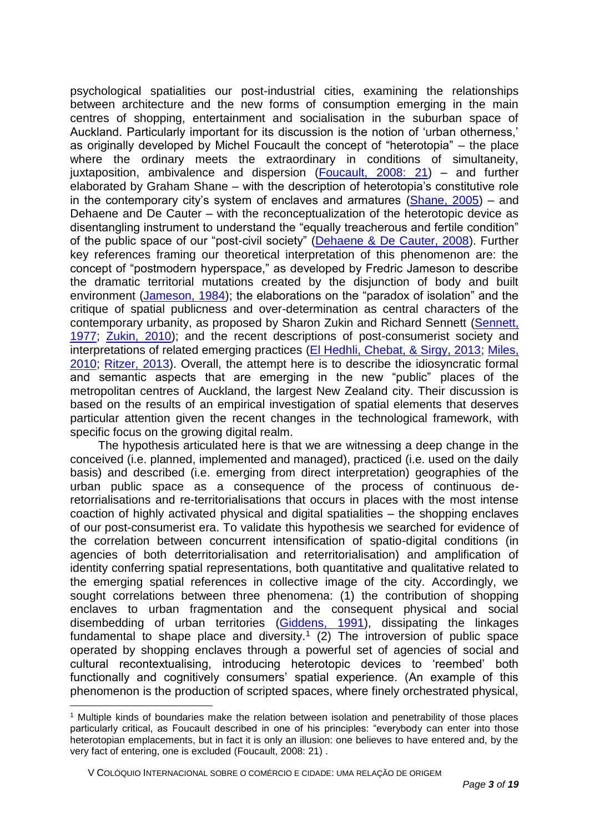psychological spatialities our post-industrial cities, examining the relationships between architecture and the new forms of consumption emerging in the main centres of shopping, entertainment and socialisation in the suburban space of Auckland. Particularly important for its discussion is the notion of 'urban otherness,' as originally developed by Michel Foucault the concept of "heterotopia" – the place where the ordinary meets the extraordinary in conditions of simultaneity, juxtaposition, ambivalence and dispersion (Foucault, 2008: 21) – and further elaborated by Graham Shane – with the description of heterotopia's constitutive role in the contemporary city's system of enclaves and armatures (Shane, 2005) – and Dehaene and De Cauter – with the reconceptualization of the heterotopic device as disentangling instrument to understand the "equally treacherous and fertile condition" of the public space of our "post-civil society" (Dehaene & De Cauter, 2008). Further key references framing our theoretical interpretation of this phenomenon are: the concept of "postmodern hyperspace," as developed by Fredric Jameson to describe the dramatic territorial mutations created by the disjunction of body and built environment (Jameson, 1984); the elaborations on the "paradox of isolation" and the critique of spatial publicness and over-determination as central characters of the contemporary urbanity, as proposed by Sharon Zukin and Richard Sennett (Sennett, 1977; Zukin, 2010); and the recent descriptions of post-consumerist society and interpretations of related emerging practices (El Hedhli, Chebat, & Sirgy, 2013; Miles, 2010; Ritzer, 2013). Overall, the attempt here is to describe the idiosyncratic formal and semantic aspects that are emerging in the new "public" places of the metropolitan centres of Auckland, the largest New Zealand city. Their discussion is based on the results of an empirical investigation of spatial elements that deserves particular attention given the recent changes in the technological framework, with specific focus on the growing digital realm.

The hypothesis articulated here is that we are witnessing a deep change in the conceived (i.e. planned, implemented and managed), practiced (i.e. used on the daily basis) and described (i.e. emerging from direct interpretation) geographies of the urban public space as a consequence of the process of continuous deretorrialisations and re-territorialisations that occurs in places with the most intense coaction of highly activated physical and digital spatialities – the shopping enclaves of our post-consumerist era. To validate this hypothesis we searched for evidence of the correlation between concurrent intensification of spatio-digital conditions (in agencies of both deterritorialisation and reterritorialisation) and amplification of identity conferring spatial representations, both quantitative and qualitative related to the emerging spatial references in collective image of the city. Accordingly, we sought correlations between three phenomena: (1) the contribution of shopping enclaves to urban fragmentation and the consequent physical and social disembedding of urban territories (Giddens, 1991), dissipating the linkages fundamental to shape place and diversity.<sup>1</sup> (2) The introversion of public space operated by shopping enclaves through a powerful set of agencies of social and cultural recontextualising, introducing heterotopic devices to 'reembed' both functionally and cognitively consumers' spatial experience. (An example of this phenomenon is the production of scripted spaces, where finely orchestrated physical,

<sup>1</sup> Multiple kinds of boundaries make the relation between isolation and penetrability of those places particularly critical, as Foucault described in one of his principles: "everybody can enter into those heterotopian emplacements, but in fact it is only an illusion: one believes to have entered and, by the very fact of entering, one is excluded (Foucault, 2008: 21) .

V COLÓQUIO INTERNACIONAL SOBRE O COMÉRCIO E CIDADE: UMA RELAÇÃO DE ORIGEM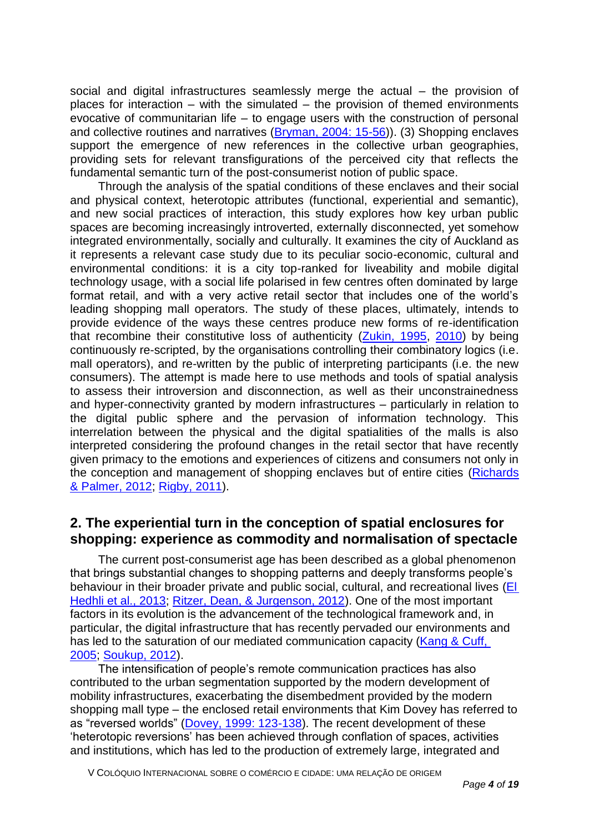social and digital infrastructures seamlessly merge the actual – the provision of places for interaction – with the simulated – the provision of themed environments evocative of communitarian life – to engage users with the construction of personal and collective routines and narratives (Bryman, 2004: 15-56)). (3) Shopping enclaves support the emergence of new references in the collective urban geographies, providing sets for relevant transfigurations of the perceived city that reflects the fundamental semantic turn of the post-consumerist notion of public space.

Through the analysis of the spatial conditions of these enclaves and their social and physical context, heterotopic attributes (functional, experiential and semantic), and new social practices of interaction, this study explores how key urban public spaces are becoming increasingly introverted, externally disconnected, yet somehow integrated environmentally, socially and culturally. It examines the city of Auckland as it represents a relevant case study due to its peculiar socio-economic, cultural and environmental conditions: it is a city top-ranked for liveability and mobile digital technology usage, with a social life polarised in few centres often dominated by large format retail, and with a very active retail sector that includes one of the world's leading shopping mall operators. The study of these places, ultimately, intends to provide evidence of the ways these centres produce new forms of re-identification that recombine their constitutive loss of authenticity  $(Zukin, 1995, 2010)$  by being continuously re-scripted, by the organisations controlling their combinatory logics (i.e. mall operators), and re-written by the public of interpreting participants (i.e. the new consumers). The attempt is made here to use methods and tools of spatial analysis to assess their introversion and disconnection, as well as their unconstrainedness and hyper-connectivity granted by modern infrastructures – particularly in relation to the digital public sphere and the pervasion of information technology. This interrelation between the physical and the digital spatialities of the malls is also interpreted considering the profound changes in the retail sector that have recently given primacy to the emotions and experiences of citizens and consumers not only in the conception and management of shopping enclaves but of entire cities (Richards & Palmer, 2012; Rigby, 2011).

## **2. The experiential turn in the conception of spatial enclosures for shopping: experience as commodity and normalisation of spectacle**

The current post-consumerist age has been described as a global phenomenon that brings substantial changes to shopping patterns and deeply transforms people's behaviour in their broader private and public social, cultural, and recreational lives (EI Hedhli et al., 2013; Ritzer, Dean, & Jurgenson, 2012). One of the most important factors in its evolution is the advancement of the technological framework and, in particular, the digital infrastructure that has recently pervaded our environments and has led to the saturation of our mediated communication capacity (Kang & Cuff, 2005; Soukup, 2012).

The intensification of people's remote communication practices has also contributed to the urban segmentation supported by the modern development of mobility infrastructures, exacerbating the disembedment provided by the modern shopping mall type – the enclosed retail environments that Kim Dovey has referred to as "reversed worlds" (Dovey, 1999: 123-138). The recent development of these 'heterotopic reversions' has been achieved through conflation of spaces, activities and institutions, which has led to the production of extremely large, integrated and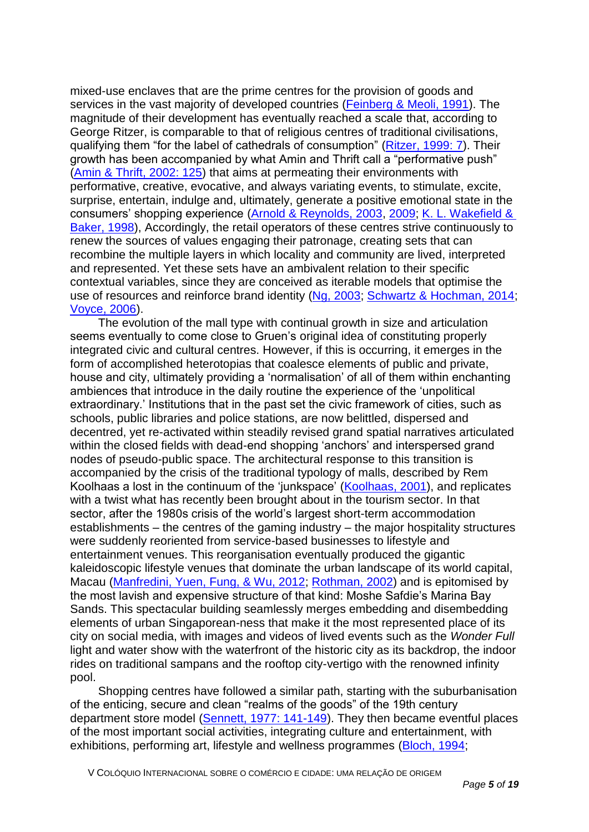mixed-use enclaves that are the prime centres for the provision of goods and services in the vast majority of developed countries (Feinberg & Meoli, 1991). The magnitude of their development has eventually reached a scale that, according to George Ritzer, is comparable to that of religious centres of traditional civilisations, qualifying them "for the label of cathedrals of consumption" (Ritzer, 1999: 7). Their growth has been accompanied by what Amin and Thrift call a "performative push" (Amin & Thrift, 2002: 125) that aims at permeating their environments with performative, creative, evocative, and always variating events, to stimulate, excite, surprise, entertain, indulge and, ultimately, generate a positive emotional state in the consumers' shopping experience (Arnold & Reynolds, 2003, 2009; K. L. Wakefield & Baker, 1998), Accordingly, the retail operators of these centres strive continuously to renew the sources of values engaging their patronage, creating sets that can recombine the multiple layers in which locality and community are lived, interpreted and represented. Yet these sets have an ambivalent relation to their specific contextual variables, since they are conceived as iterable models that optimise the use of resources and reinforce brand identity (Ng, 2003; Schwartz & Hochman, 2014; Voyce, 2006).

The evolution of the mall type with continual growth in size and articulation seems eventually to come close to Gruen's original idea of constituting properly integrated civic and cultural centres. However, if this is occurring, it emerges in the form of accomplished heterotopias that coalesce elements of public and private, house and city, ultimately providing a 'normalisation' of all of them within enchanting ambiences that introduce in the daily routine the experience of the 'unpolitical extraordinary.' Institutions that in the past set the civic framework of cities, such as schools, public libraries and police stations, are now belittled, dispersed and decentred, yet re-activated within steadily revised grand spatial narratives articulated within the closed fields with dead-end shopping 'anchors' and interspersed grand nodes of pseudo-public space. The architectural response to this transition is accompanied by the crisis of the traditional typology of malls, described by Rem Koolhaas a lost in the continuum of the 'junkspace' (Koolhaas, 2001), and replicates with a twist what has recently been brought about in the tourism sector. In that sector, after the 1980s crisis of the world's largest short-term accommodation establishments – the centres of the gaming industry – the major hospitality structures were suddenly reoriented from service-based businesses to lifestyle and entertainment venues. This reorganisation eventually produced the gigantic kaleidoscopic lifestyle venues that dominate the urban landscape of its world capital, Macau (Manfredini, Yuen, Fung, & Wu, 2012; Rothman, 2002) and is epitomised by the most lavish and expensive structure of that kind: Moshe Safdie's Marina Bay Sands. This spectacular building seamlessly merges embedding and disembedding elements of urban Singaporean-ness that make it the most represented place of its city on social media, with images and videos of lived events such as the *Wonder Full* light and water show with the waterfront of the historic city as its backdrop, the indoor rides on traditional sampans and the rooftop city-vertigo with the renowned infinity pool.

Shopping centres have followed a similar path, starting with the suburbanisation of the enticing, secure and clean "realms of the goods" of the 19th century department store model (Sennett, 1977: 141-149). They then became eventful places of the most important social activities, integrating culture and entertainment, with exhibitions, performing art, lifestyle and wellness programmes (Bloch, 1994;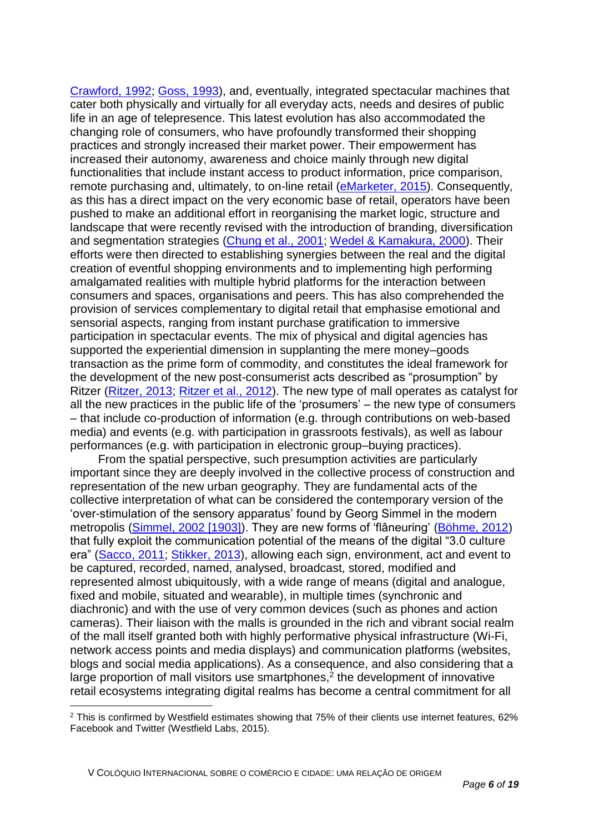Crawford, 1992; Goss, 1993), and, eventually, integrated spectacular machines that cater both physically and virtually for all everyday acts, needs and desires of public life in an age of telepresence. This latest evolution has also accommodated the changing role of consumers, who have profoundly transformed their shopping practices and strongly increased their market power. Their empowerment has increased their autonomy, awareness and choice mainly through new digital functionalities that include instant access to product information, price comparison, remote purchasing and, ultimately, to on-line retail (eMarketer, 2015). Consequently, as this has a direct impact on the very economic base of retail, operators have been pushed to make an additional effort in reorganising the market logic, structure and landscape that were recently revised with the introduction of branding, diversification and segmentation strategies (Chung et al., 2001; Wedel & Kamakura, 2000). Their efforts were then directed to establishing synergies between the real and the digital creation of eventful shopping environments and to implementing high performing amalgamated realities with multiple hybrid platforms for the interaction between consumers and spaces, organisations and peers. This has also comprehended the provision of services complementary to digital retail that emphasise emotional and sensorial aspects, ranging from instant purchase gratification to immersive participation in spectacular events. The mix of physical and digital agencies has supported the experiential dimension in supplanting the mere money–goods transaction as the prime form of commodity, and constitutes the ideal framework for the development of the new post-consumerist acts described as "prosumption" by Ritzer (Ritzer, 2013; Ritzer et al., 2012). The new type of mall operates as catalyst for all the new practices in the public life of the 'prosumers' – the new type of consumers – that include co-production of information (e.g. through contributions on web-based media) and events (e.g. with participation in grassroots festivals), as well as labour performances (e.g. with participation in electronic group–buying practices).

From the spatial perspective, such presumption activities are particularly important since they are deeply involved in the collective process of construction and representation of the new urban geography. They are fundamental acts of the collective interpretation of what can be considered the contemporary version of the 'over-stimulation of the sensory apparatus' found by Georg Simmel in the modern metropolis (Simmel, 2002 [1903]). They are new forms of 'flâneuring' (Böhme, 2012) that fully exploit the communication potential of the means of the digital "3.0 culture era" (Sacco, 2011; Stikker, 2013), allowing each sign, environment, act and event to be captured, recorded, named, analysed, broadcast, stored, modified and represented almost ubiquitously, with a wide range of means (digital and analogue, fixed and mobile, situated and wearable), in multiple times (synchronic and diachronic) and with the use of very common devices (such as phones and action cameras). Their liaison with the malls is grounded in the rich and vibrant social realm of the mall itself granted both with highly performative physical infrastructure (Wi-Fi, network access points and media displays) and communication platforms (websites, blogs and social media applications). As a consequence, and also considering that a large proportion of mall visitors use smartphones, $2$  the development of innovative retail ecosystems integrating digital realms has become a central commitment for all

<sup>2</sup> This is confirmed by Westfield estimates showing that 75% of their clients use internet features, 62% Facebook and Twitter (Westfield Labs, 2015).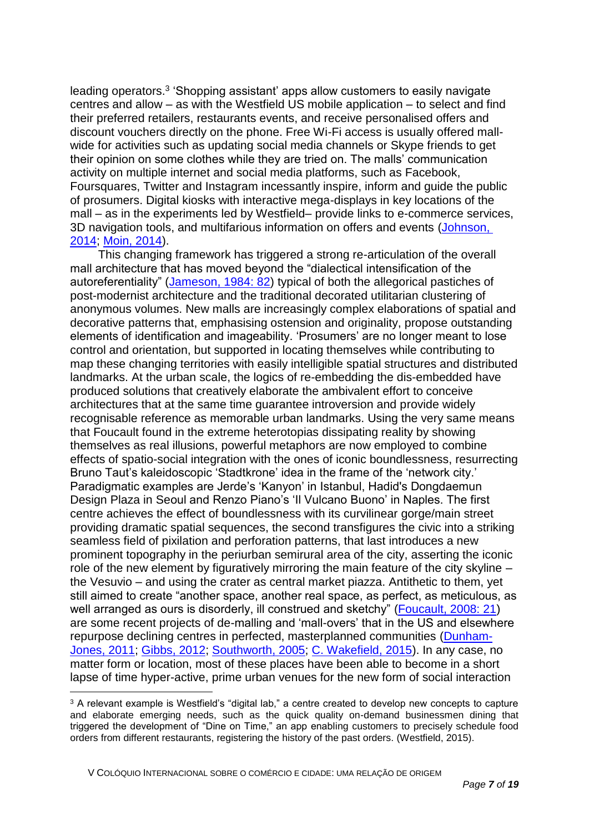leading operators.<sup>3</sup> 'Shopping assistant' apps allow customers to easily navigate centres and allow – as with the Westfield US mobile application – to select and find their preferred retailers, restaurants events, and receive personalised offers and discount vouchers directly on the phone. Free Wi-Fi access is usually offered mallwide for activities such as updating social media channels or Skype friends to get their opinion on some clothes while they are tried on. The malls' communication activity on multiple internet and social media platforms, such as Facebook, Foursquares, Twitter and Instagram incessantly inspire, inform and guide the public of prosumers. Digital kiosks with interactive mega-displays in key locations of the mall – as in the experiments led by Westfield– provide links to e-commerce services, 3D navigation tools, and multifarious information on offers and events (Johnson, 2014; Moin, 2014).

This changing framework has triggered a strong re-articulation of the overall mall architecture that has moved beyond the "dialectical intensification of the autoreferentiality" (Jameson, 1984: 82) typical of both the allegorical pastiches of post-modernist architecture and the traditional decorated utilitarian clustering of anonymous volumes. New malls are increasingly complex elaborations of spatial and decorative patterns that, emphasising ostension and originality, propose outstanding elements of identification and imageability. 'Prosumers' are no longer meant to lose control and orientation, but supported in locating themselves while contributing to map these changing territories with easily intelligible spatial structures and distributed landmarks. At the urban scale, the logics of re-embedding the dis-embedded have produced solutions that creatively elaborate the ambivalent effort to conceive architectures that at the same time guarantee introversion and provide widely recognisable reference as memorable urban landmarks. Using the very same means that Foucault found in the extreme heterotopias dissipating reality by showing themselves as real illusions, powerful metaphors are now employed to combine effects of spatio-social integration with the ones of iconic boundlessness, resurrecting Bruno Taut's kaleidoscopic 'Stadtkrone' idea in the frame of the 'network city.' Paradigmatic examples are Jerde's 'Kanyon' in Istanbul, Hadid's Dongdaemun Design Plaza in Seoul and Renzo Piano's 'Il Vulcano Buono' in Naples. The first centre achieves the effect of boundlessness with its curvilinear gorge/main street providing dramatic spatial sequences, the second transfigures the civic into a striking seamless field of pixilation and perforation patterns, that last introduces a new prominent topography in the periurban semirural area of the city, asserting the iconic role of the new element by figuratively mirroring the main feature of the city skyline – the Vesuvio – and using the crater as central market piazza. Antithetic to them, yet still aimed to create "another space, another real space, as perfect, as meticulous, as well arranged as ours is disorderly, ill construed and sketchy" (Foucault, 2008: 21) are some recent projects of de-malling and 'mall-overs' that in the US and elsewhere repurpose declining centres in perfected, masterplanned communities (Dunham-Jones, 2011; Gibbs, 2012; Southworth, 2005; C. Wakefield, 2015). In any case, no matter form or location, most of these places have been able to become in a short lapse of time hyper-active, prime urban venues for the new form of social interaction

<sup>&</sup>lt;sup>3</sup> A relevant example is Westfield's "digital lab," a centre created to develop new concepts to capture and elaborate emerging needs, such as the quick quality on-demand businessmen dining that triggered the development of "Dine on Time," an app enabling customers to precisely schedule food orders from different restaurants, registering the history of the past orders. (Westfield, 2015).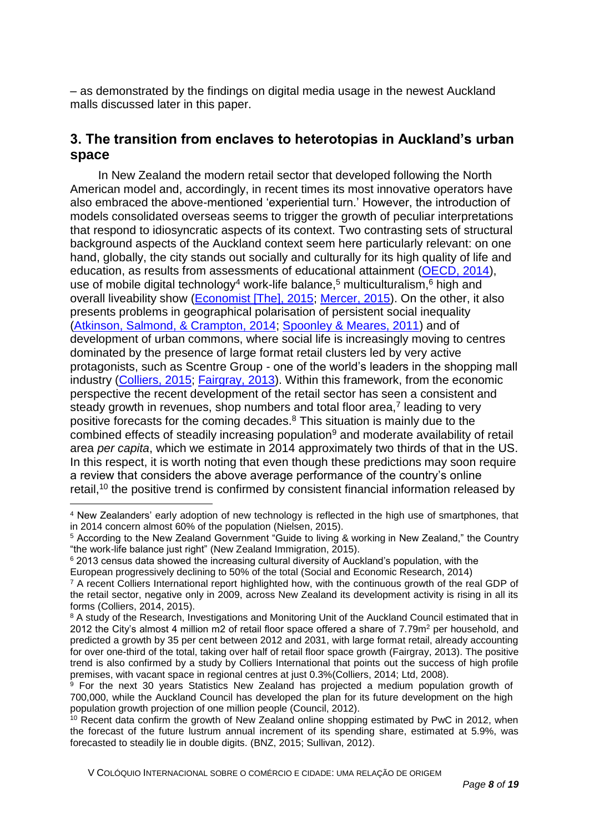– as demonstrated by the findings on digital media usage in the newest Auckland malls discussed later in this paper.

## **3. The transition from enclaves to heterotopias in Auckland's urban space**

In New Zealand the modern retail sector that developed following the North American model and, accordingly, in recent times its most innovative operators have also embraced the above-mentioned 'experiential turn.' However, the introduction of models consolidated overseas seems to trigger the growth of peculiar interpretations that respond to idiosyncratic aspects of its context. Two contrasting sets of structural background aspects of the Auckland context seem here particularly relevant: on one hand, globally, the city stands out socially and culturally for its high quality of life and education, as results from assessments of educational attainment (OECD, 2014), use of mobile digital technology<sup>4</sup> work-life balance,<sup>5</sup> multiculturalism, $6$  high and overall liveability show (Economist [The], 2015; Mercer, 2015). On the other, it also presents problems in geographical polarisation of persistent social inequality (Atkinson, Salmond, & Crampton, 2014; Spoonley & Meares, 2011) and of development of urban commons, where social life is increasingly moving to centres dominated by the presence of large format retail clusters led by very active protagonists, such as Scentre Group - one of the world's leaders in the shopping mall industry (Colliers, 2015; Fairgray, 2013). Within this framework, from the economic perspective the recent development of the retail sector has seen a consistent and steady growth in revenues, shop numbers and total floor area, $7$  leading to very positive forecasts for the coming decades.<sup>8</sup> This situation is mainly due to the combined effects of steadily increasing population<sup>9</sup> and moderate availability of retail area *per capita*, which we estimate in 2014 approximately two thirds of that in the US. In this respect, it is worth noting that even though these predictions may soon require a review that considers the above average performance of the country's online retail,<sup>10</sup> the positive trend is confirmed by consistent financial information released by

 $\overline{a}$ 

<sup>4</sup> New Zealanders' early adoption of new technology is reflected in the high use of smartphones, that in 2014 concern almost 60% of the population (Nielsen, 2015).

<sup>5</sup> According to the New Zealand Government "Guide to living & working in New Zealand," the Country "the work-life balance just right" (New Zealand Immigration, 2015).

<sup>6</sup> 2013 census data showed the increasing cultural diversity of Auckland's population, with the

European progressively declining to 50% of the total (Social and Economic Research, 2014)

 $7$  A recent Colliers International report highlighted how, with the continuous growth of the real GDP of the retail sector, negative only in 2009, across New Zealand its development activity is rising in all its forms (Colliers, 2014, 2015).

<sup>&</sup>lt;sup>8</sup> A study of the Research, Investigations and Monitoring Unit of the Auckland Council estimated that in 2012 the City's almost 4 million m2 of retail floor space offered a share of 7.79m<sup>2</sup> per household, and predicted a growth by 35 per cent between 2012 and 2031, with large format retail, already accounting for over one-third of the total, taking over half of retail floor space growth (Fairgray, 2013). The positive trend is also confirmed by a study by Colliers International that points out the success of high profile premises, with vacant space in regional centres at just 0.3%(Colliers, 2014; Ltd, 2008).

 $9$  For the next 30 years Statistics New Zealand has projected a medium population growth of 700,000, while the Auckland Council has developed the plan for its future development on the high population growth projection of one million people (Council, 2012).

<sup>&</sup>lt;sup>10</sup> Recent data confirm the growth of New Zealand online shopping estimated by PwC in 2012, when the forecast of the future lustrum annual increment of its spending share, estimated at 5.9%, was forecasted to steadily lie in double digits. (BNZ, 2015; Sullivan, 2012).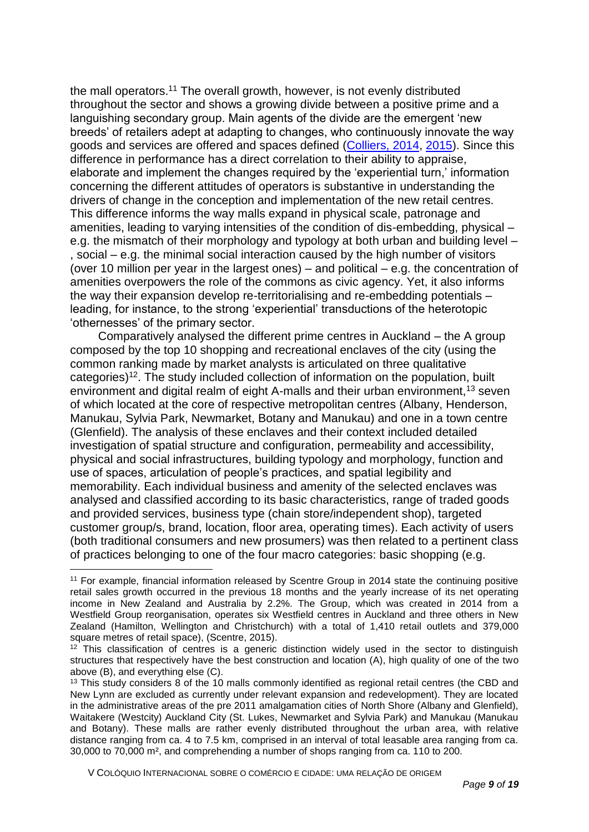the mall operators.<sup>11</sup> The overall growth, however, is not evenly distributed throughout the sector and shows a growing divide between a positive prime and a languishing secondary group. Main agents of the divide are the emergent 'new breeds' of retailers adept at adapting to changes, who continuously innovate the way goods and services are offered and spaces defined (Colliers, 2014, 2015). Since this difference in performance has a direct correlation to their ability to appraise, elaborate and implement the changes required by the 'experiential turn,' information concerning the different attitudes of operators is substantive in understanding the drivers of change in the conception and implementation of the new retail centres. This difference informs the way malls expand in physical scale, patronage and amenities, leading to varying intensities of the condition of dis-embedding, physical – e.g. the mismatch of their morphology and typology at both urban and building level – , social – e.g. the minimal social interaction caused by the high number of visitors (over 10 million per year in the largest ones) – and political – e.g. the concentration of amenities overpowers the role of the commons as civic agency. Yet, it also informs the way their expansion develop re-territorialising and re-embedding potentials – leading, for instance, to the strong 'experiential' transductions of the heterotopic 'othernesses' of the primary sector.

Comparatively analysed the different prime centres in Auckland – the A group composed by the top 10 shopping and recreational enclaves of the city (using the common ranking made by market analysts is articulated on three qualitative categories)<sup>12</sup>. The study included collection of information on the population, built environment and digital realm of eight A-malls and their urban environment,<sup>13</sup> seven of which located at the core of respective metropolitan centres (Albany, Henderson, Manukau, Sylvia Park, Newmarket, Botany and Manukau) and one in a town centre (Glenfield). The analysis of these enclaves and their context included detailed investigation of spatial structure and configuration, permeability and accessibility, physical and social infrastructures, building typology and morphology, function and use of spaces, articulation of people's practices, and spatial legibility and memorability. Each individual business and amenity of the selected enclaves was analysed and classified according to its basic characteristics, range of traded goods and provided services, business type (chain store/independent shop), targeted customer group/s, brand, location, floor area, operating times). Each activity of users (both traditional consumers and new prosumers) was then related to a pertinent class of practices belonging to one of the four macro categories: basic shopping (e.g.

 $\overline{a}$ 

<sup>11</sup> For example, financial information released by Scentre Group in 2014 state the continuing positive retail sales growth occurred in the previous 18 months and the yearly increase of its net operating income in New Zealand and Australia by 2.2%. The Group, which was created in 2014 from a Westfield Group reorganisation, operates six Westfield centres in Auckland and three others in New Zealand (Hamilton, Wellington and Christchurch) with a total of 1,410 retail outlets and 379,000 square metres of retail space), (Scentre, 2015).

 $12$  This classification of centres is a generic distinction widely used in the sector to distinguish structures that respectively have the best construction and location (A), high quality of one of the two above (B), and everything else (C).

<sup>&</sup>lt;sup>13</sup> This study considers 8 of the 10 malls commonly identified as regional retail centres (the CBD and New Lynn are excluded as currently under relevant expansion and redevelopment). They are located in the administrative areas of the pre 2011 amalgamation cities of North Shore (Albany and Glenfield), Waitakere (Westcity) Auckland City (St. Lukes, Newmarket and Sylvia Park) and Manukau (Manukau and Botany). These malls are rather evenly distributed throughout the urban area, with relative distance ranging from ca. 4 to 7.5 km, comprised in an interval of total leasable area ranging from ca. 30,000 to 70,000 m², and comprehending a number of shops ranging from ca. 110 to 200.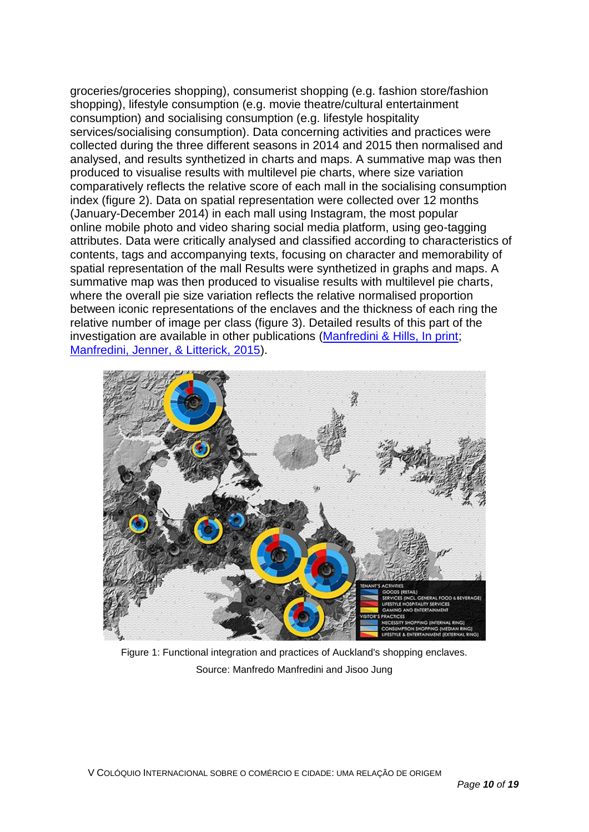groceries/groceries shopping), consumerist shopping (e.g. fashion store/fashion shopping), lifestyle consumption (e.g. movie theatre/cultural entertainment consumption) and socialising consumption (e.g. lifestyle hospitality services/socialising consumption). Data concerning activities and practices were collected during the three different seasons in 2014 and 2015 then normalised and analysed, and results synthetized in charts and maps. A summative map was then produced to visualise results with multilevel pie charts, where size variation comparatively reflects the relative score of each mall in the socialising consumption index (figure 2). Data on spatial representation were collected over 12 months (January-December 2014) in each mall using Instagram, the most popular online mobile photo and video sharing social media platform, using geo-tagging attributes. Data were critically analysed and classified according to characteristics of contents, tags and accompanying texts, focusing on character and memorability of spatial representation of the mall Results were synthetized in graphs and maps. A summative map was then produced to visualise results with multilevel pie charts, where the overall pie size variation reflects the relative normalised proportion between iconic representations of the enclaves and the thickness of each ring the relative number of image per class (figure 3). Detailed results of this part of the investigation are available in other publications (Manfredini & Hills, In print; Manfredini, Jenner, & Litterick, 2015).



Figure 1: Functional integration and practices of Auckland's shopping enclaves. Source: Manfredo Manfredini and Jisoo Jung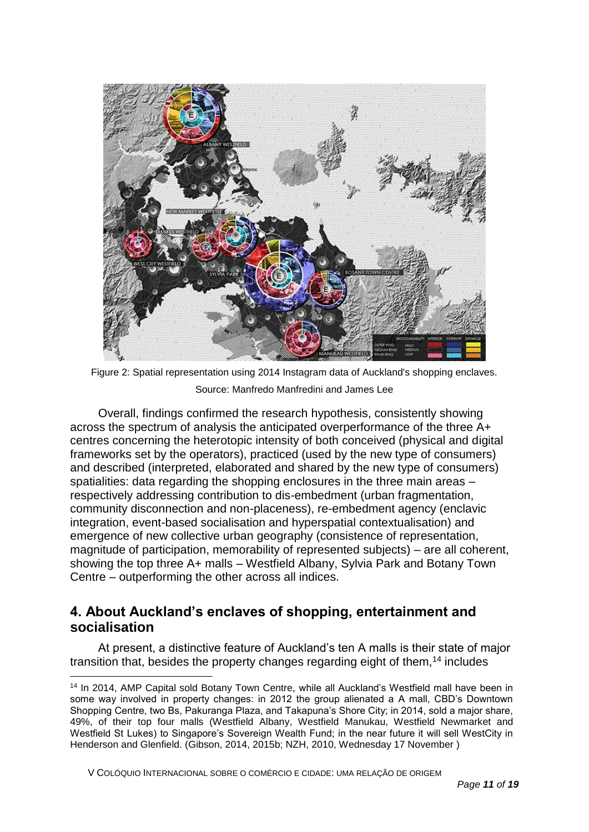

Figure 2: Spatial representation using 2014 Instagram data of Auckland's shopping enclaves. Source: Manfredo Manfredini and James Lee

Overall, findings confirmed the research hypothesis, consistently showing across the spectrum of analysis the anticipated overperformance of the three A+ centres concerning the heterotopic intensity of both conceived (physical and digital frameworks set by the operators), practiced (used by the new type of consumers) and described (interpreted, elaborated and shared by the new type of consumers) spatialities: data regarding the shopping enclosures in the three main areas – respectively addressing contribution to dis-embedment (urban fragmentation, community disconnection and non-placeness), re-embedment agency (enclavic integration, event-based socialisation and hyperspatial contextualisation) and emergence of new collective urban geography (consistence of representation, magnitude of participation, memorability of represented subjects) – are all coherent, showing the top three A+ malls – Westfield Albany, Sylvia Park and Botany Town Centre – outperforming the other across all indices.

## **4. About Auckland's enclaves of shopping, entertainment and socialisation**

At present, a distinctive feature of Auckland's ten A malls is their state of major transition that, besides the property changes regarding eight of them,<sup>14</sup> includes

V COLÓQUIO INTERNACIONAL SOBRE O COMÉRCIO E CIDADE: UMA RELAÇÃO DE ORIGEM

<sup>14</sup> In 2014, AMP Capital sold Botany Town Centre, while all Auckland's Westfield mall have been in some way involved in property changes: in 2012 the group alienated a A mall, CBD's Downtown Shopping Centre, two Bs, Pakuranga Plaza, and Takapuna's Shore City; in 2014, sold a major share, 49%, of their top four malls (Westfield Albany, Westfield Manukau, Westfield Newmarket and Westfield St Lukes) to Singapore's Sovereign Wealth Fund; in the near future it will sell WestCity in Henderson and Glenfield. (Gibson, 2014, 2015b; NZH, 2010, Wednesday 17 November )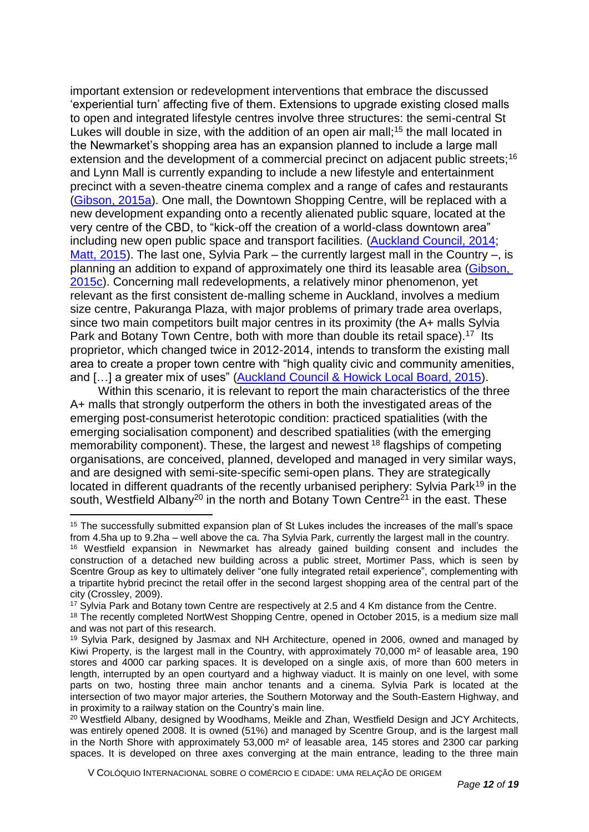important extension or redevelopment interventions that embrace the discussed 'experiential turn' affecting five of them. Extensions to upgrade existing closed malls to open and integrated lifestyle centres involve three structures: the semi-central St Lukes will double in size, with the addition of an open air mall;<sup>15</sup> the mall located in the Newmarket's shopping area has an expansion planned to include a large mall extension and the development of a commercial precinct on adjacent public streets;<sup>16</sup> and Lynn Mall is currently expanding to include a new lifestyle and entertainment precinct with a seven-theatre cinema complex and a range of cafes and restaurants (Gibson, 2015a). One mall, the Downtown Shopping Centre, will be replaced with a new development expanding onto a recently alienated public square, located at the very centre of the CBD, to "kick-off the creation of a world-class downtown area" including new open public space and transport facilities. (Auckland Council, 2014; Matt,  $2015$ ). The last one, Sylvia Park – the currently largest mall in the Country –, is planning an addition to expand of approximately one third its leasable area (Gibson, 2015c). Concerning mall redevelopments, a relatively minor phenomenon, yet relevant as the first consistent de-malling scheme in Auckland, involves a medium size centre, Pakuranga Plaza, with major problems of primary trade area overlaps, since two main competitors built major centres in its proximity (the A+ malls Sylvia Park and Botany Town Centre, both with more than double its retail space).<sup>17</sup> Its proprietor, which changed twice in 2012-2014, intends to transform the existing mall area to create a proper town centre with "high quality civic and community amenities, and [...] a greater mix of uses" (Auckland Council & Howick Local Board, 2015).

Within this scenario, it is relevant to report the main characteristics of the three A+ malls that strongly outperform the others in both the investigated areas of the emerging post-consumerist heterotopic condition: practiced spatialities (with the emerging socialisation component) and described spatialities (with the emerging memorability component). These, the largest and newest <sup>18</sup> flagships of competing organisations, are conceived, planned, developed and managed in very similar ways, and are designed with semi-site-specific semi-open plans. They are strategically located in different quadrants of the recently urbanised periphery: Sylvia Park<sup>19</sup> in the south, Westfield Albany<sup>20</sup> in the north and Botany Town Centre<sup>21</sup> in the east. These

<sup>17</sup> Sylvia Park and Botany town Centre are respectively at 2.5 and 4 Km distance from the Centre.

 $\overline{a}$ 

<sup>&</sup>lt;sup>15</sup> The successfully submitted expansion plan of St Lukes includes the increases of the mall's space from 4.5ha up to 9.2ha – well above the ca. 7ha Sylvia Park, currently the largest mall in the country. <sup>16</sup> Westfield expansion in Newmarket has already gained building consent and includes the construction of a detached new building across a public street, Mortimer Pass, which is seen by Scentre Group as key to ultimately deliver "one fully integrated retail experience", complementing with a tripartite hybrid precinct the retail offer in the second largest shopping area of the central part of the city (Crossley, 2009).

<sup>&</sup>lt;sup>18</sup> The recently completed NortWest Shopping Centre, opened in October 2015, is a medium size mall and was not part of this research.

<sup>19</sup> Sylvia Park, designed by Jasmax and NH Architecture, opened in 2006, owned and managed by Kiwi Property, is the largest mall in the Country, with approximately 70,000  $m<sup>2</sup>$  of leasable area, 190 stores and 4000 car parking spaces. It is developed on a single axis, of more than 600 meters in length, interrupted by an open courtyard and a highway viaduct. It is mainly on one level, with some parts on two, hosting three main anchor tenants and a cinema. Sylvia Park is located at the intersection of two mayor major arteries, the Southern Motorway and the South-Eastern Highway, and in proximity to a railway station on the Country's main line.

<sup>&</sup>lt;sup>20</sup> Westfield Albany, designed by Woodhams, Meikle and Zhan, Westfield Design and JCY Architects, was entirely opened 2008. It is owned (51%) and managed by Scentre Group, and is the largest mall in the North Shore with approximately 53,000 m² of leasable area, 145 stores and 2300 car parking spaces. It is developed on three axes converging at the main entrance, leading to the three main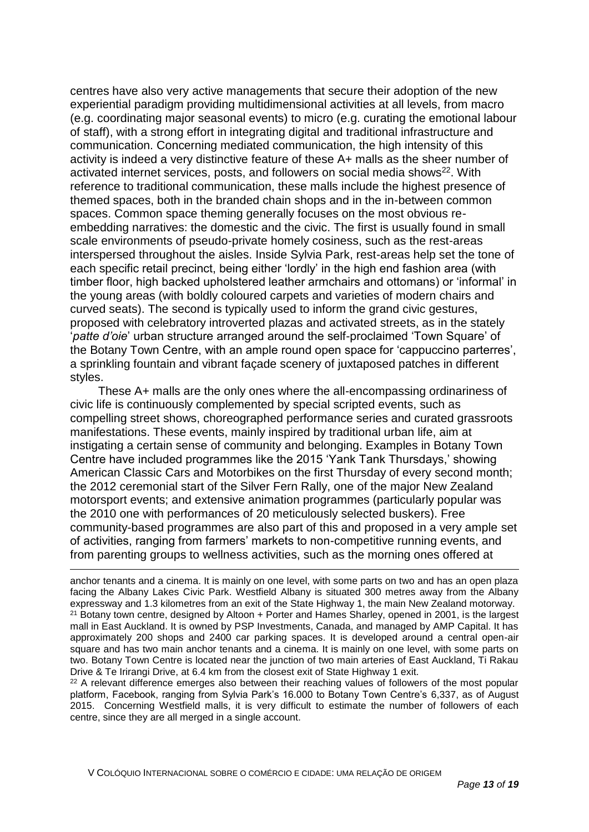centres have also very active managements that secure their adoption of the new experiential paradigm providing multidimensional activities at all levels, from macro (e.g. coordinating major seasonal events) to micro (e.g. curating the emotional labour of staff), with a strong effort in integrating digital and traditional infrastructure and communication. Concerning mediated communication, the high intensity of this activity is indeed a very distinctive feature of these A+ malls as the sheer number of activated internet services, posts, and followers on social media shows<sup>22</sup>. With reference to traditional communication, these malls include the highest presence of themed spaces, both in the branded chain shops and in the in-between common spaces. Common space theming generally focuses on the most obvious reembedding narratives: the domestic and the civic. The first is usually found in small scale environments of pseudo-private homely cosiness, such as the rest-areas interspersed throughout the aisles. Inside Sylvia Park, rest-areas help set the tone of each specific retail precinct, being either 'lordly' in the high end fashion area (with timber floor, high backed upholstered leather armchairs and ottomans) or 'informal' in the young areas (with boldly coloured carpets and varieties of modern chairs and curved seats). The second is typically used to inform the grand civic gestures, proposed with celebratory introverted plazas and activated streets, as in the stately '*patte d'oie*' urban structure arranged around the self-proclaimed 'Town Square' of the Botany Town Centre, with an ample round open space for 'cappuccino parterres', a sprinkling fountain and vibrant façade scenery of juxtaposed patches in different styles.

These A+ malls are the only ones where the all-encompassing ordinariness of civic life is continuously complemented by special scripted events, such as compelling street shows, choreographed performance series and curated grassroots manifestations. These events, mainly inspired by traditional urban life, aim at instigating a certain sense of community and belonging. Examples in Botany Town Centre have included programmes like the 2015 'Yank Tank Thursdays,' showing American Classic Cars and Motorbikes on the first Thursday of every second month; the 2012 ceremonial start of the Silver Fern Rally, one of the major New Zealand motorsport events; and extensive animation programmes (particularly popular was the 2010 one with performances of 20 meticulously selected buskers). Free community-based programmes are also part of this and proposed in a very ample set of activities, ranging from farmers' markets to non-competitive running events, and from parenting groups to wellness activities, such as the morning ones offered at

<sup>22</sup> A relevant difference emerges also between their reaching values of followers of the most popular platform, Facebook, ranging from Sylvia Park's 16.000 to Botany Town Centre's [6,337,](https://www.facebook.com/BTCNZ/likes) as of August 2015. Concerning Westfield malls, it is very difficult to estimate the number of followers of each centre, since they are all merged in a single account.

anchor tenants and a cinema. It is mainly on one level, with some parts on two and has an open plaza facing the Albany Lakes Civic Park. Westfield Albany is situated 300 metres away from the Albany expressway and 1.3 kilometres from an exit of the State Highway 1, the main New Zealand motorway.  $21$  Botany town centre, designed by Altoon  $+$  Porter and Hames Sharley, opened in 2001, is the largest mall in East Auckland. It is owned by PSP Investments, Canada, and managed by AMP Capital. It has approximately 200 shops and 2400 car parking spaces. It is developed around a central open-air square and has two main anchor tenants and a cinema. It is mainly on one level, with some parts on two. Botany Town Centre is located near the junction of two main arteries of East Auckland, Ti Rakau Drive & Te Irirangi Drive, at 6.4 km from the closest exit of State Highway 1 exit.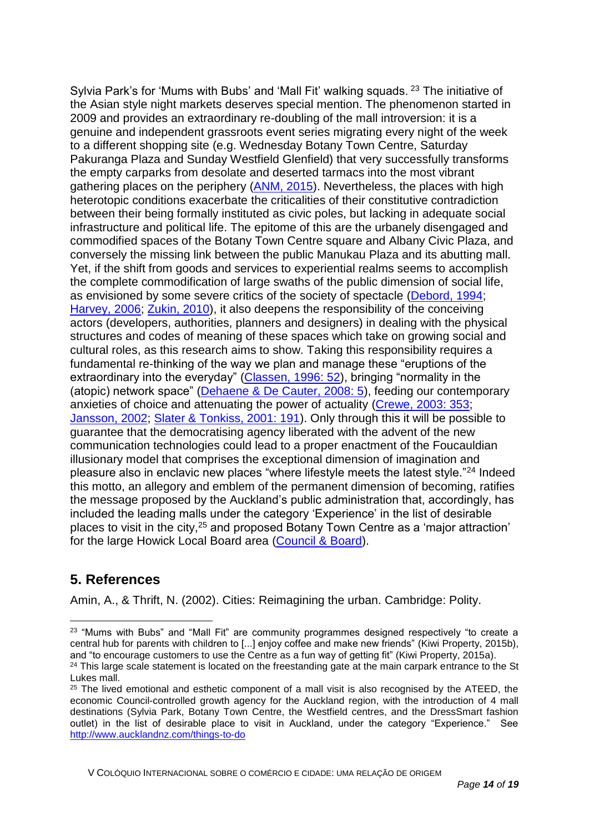Sylvia Park's for 'Mums with Bubs' and 'Mall Fit' walking squads. <sup>23</sup> The initiative of the Asian style night markets deserves special mention. The phenomenon started in 2009 and provides an extraordinary re-doubling of the mall introversion: it is a genuine and independent grassroots event series migrating every night of the week to a different shopping site (e.g. Wednesday Botany Town Centre, Saturday Pakuranga Plaza and Sunday Westfield Glenfield) that very successfully transforms the empty carparks from desolate and deserted tarmacs into the most vibrant gathering places on the periphery (ANM, 2015). Nevertheless, the places with high heterotopic conditions exacerbate the criticalities of their constitutive contradiction between their being formally instituted as civic poles, but lacking in adequate social infrastructure and political life. The epitome of this are the urbanely disengaged and commodified spaces of the Botany Town Centre square and Albany Civic Plaza, and conversely the missing link between the public Manukau Plaza and its abutting mall. Yet, if the shift from goods and services to experiential realms seems to accomplish the complete commodification of large swaths of the public dimension of social life, as envisioned by some severe critics of the society of spectacle (Debord, 1994; Harvey, 2006; Zukin, 2010), it also deepens the responsibility of the conceiving actors (developers, authorities, planners and designers) in dealing with the physical structures and codes of meaning of these spaces which take on growing social and cultural roles, as this research aims to show. Taking this responsibility requires a fundamental re-thinking of the way we plan and manage these "eruptions of the extraordinary into the everyday" (Classen, 1996: 52), bringing "normality in the (atopic) network space" (Dehaene & De Cauter, 2008: 5), feeding our contemporary anxieties of choice and attenuating the power of actuality (Crewe, 2003: 353; Jansson, 2002; Slater & Tonkiss, 2001: 191). Only through this it will be possible to guarantee that the democratising agency liberated with the advent of the new communication technologies could lead to a proper enactment of the Foucauldian illusionary model that comprises the exceptional dimension of imagination and pleasure also in enclavic new places "where lifestyle meets the latest style."<sup>24</sup> Indeed this motto, an allegory and emblem of the permanent dimension of becoming, ratifies the message proposed by the Auckland's public administration that, accordingly, has included the leading malls under the category 'Experience' in the list of desirable places to visit in the city,<sup>25</sup> and proposed Botany Town Centre as a 'major attraction' for the large Howick Local Board area (Council & Board).

## **5. References**

 $\overline{a}$ 

Amin, A., & Thrift, N. (2002). Cities: Reimagining the urban. Cambridge: Polity.

<sup>&</sup>lt;sup>23</sup> "Mums with Bubs" and "Mall Fit" are community programmes designed respectively "to create a central hub for parents with children to [...] enjoy coffee and make new friends" (Kiwi Property, 2015b), and "to encourage customers to use the Centre as a fun way of getting fit" (Kiwi Property, 2015a). <sup>24</sup> This large scale statement is located on the freestanding gate at the main carpark entrance to the St

Lukes mall. <sup>25</sup> The lived emotional and esthetic component of a mall visit is also recognised by the ATEED, the

economic Council-controlled growth agency for the Auckland region, with the introduction of 4 mall destinations (Sylvia Park, Botany Town Centre, the Westfield centres, and the DressSmart fashion outlet) in the list of desirable place to visit in Auckland, under the category "Experience." See <http://www.aucklandnz.com/things-to-do>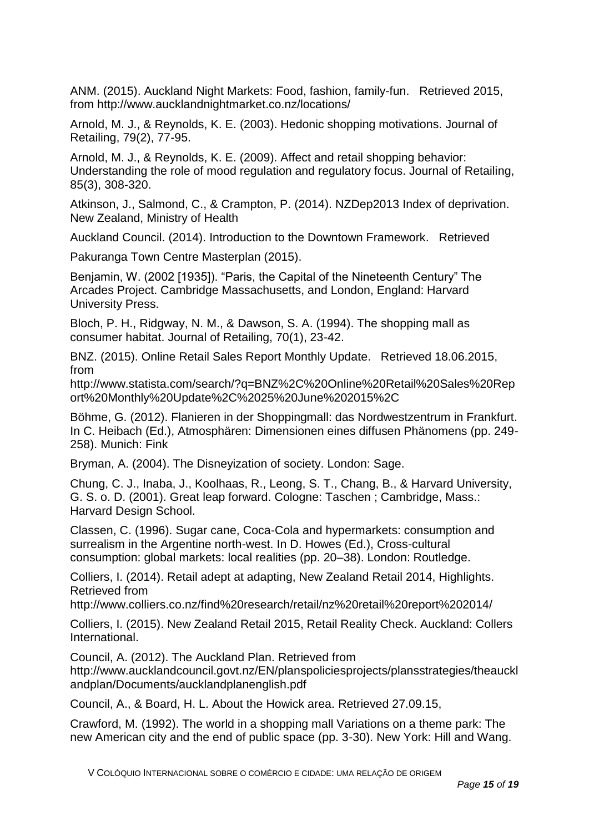ANM. (2015). Auckland Night Markets: Food, fashion, family-fun. Retrieved 2015, from http://www.aucklandnightmarket.co.nz/locations/

Arnold, M. J., & Reynolds, K. E. (2003). Hedonic shopping motivations. Journal of Retailing, 79(2), 77-95.

Arnold, M. J., & Reynolds, K. E. (2009). Affect and retail shopping behavior: Understanding the role of mood regulation and regulatory focus. Journal of Retailing, 85(3), 308-320.

Atkinson, J., Salmond, C., & Crampton, P. (2014). NZDep2013 Index of deprivation. New Zealand, Ministry of Health

Auckland Council. (2014). Introduction to the Downtown Framework. Retrieved

Pakuranga Town Centre Masterplan (2015).

Benjamin, W. (2002 [1935]). "Paris, the Capital of the Nineteenth Century" The Arcades Project. Cambridge Massachusetts, and London, England: Harvard University Press.

Bloch, P. H., Ridgway, N. M., & Dawson, S. A. (1994). The shopping mall as consumer habitat. Journal of Retailing, 70(1), 23-42.

BNZ. (2015). Online Retail Sales Report Monthly Update. Retrieved 18.06.2015, from

http://www.statista.com/search/?q=BNZ%2C%20Online%20Retail%20Sales%20Rep ort%20Monthly%20Update%2C%2025%20June%202015%2C

Böhme, G. (2012). Flanieren in der Shoppingmall: das Nordwestzentrum in Frankfurt. In C. Heibach (Ed.), Atmosphären: Dimensionen eines diffusen Phänomens (pp. 249- 258). Munich: Fink

Bryman, A. (2004). The Disneyization of society. London: Sage.

Chung, C. J., Inaba, J., Koolhaas, R., Leong, S. T., Chang, B., & Harvard University, G. S. o. D. (2001). Great leap forward. Cologne: Taschen ; Cambridge, Mass.: Harvard Design School.

Classen, C. (1996). Sugar cane, Coca-Cola and hypermarkets: consumption and surrealism in the Argentine north-west. In D. Howes (Ed.), Cross-cultural consumption: global markets: local realities (pp. 20–38). London: Routledge.

Colliers, I. (2014). Retail adept at adapting, New Zealand Retail 2014, Highlights. Retrieved from

http://www.colliers.co.nz/find%20research/retail/nz%20retail%20report%202014/

Colliers, I. (2015). New Zealand Retail 2015, Retail Reality Check. Auckland: Collers International.

Council, A. (2012). The Auckland Plan. Retrieved from http://www.aucklandcouncil.govt.nz/EN/planspoliciesprojects/plansstrategies/theauckl andplan/Documents/aucklandplanenglish.pdf

Council, A., & Board, H. L. About the Howick area. Retrieved 27.09.15,

Crawford, M. (1992). The world in a shopping mall Variations on a theme park: The new American city and the end of public space (pp. 3-30). New York: Hill and Wang.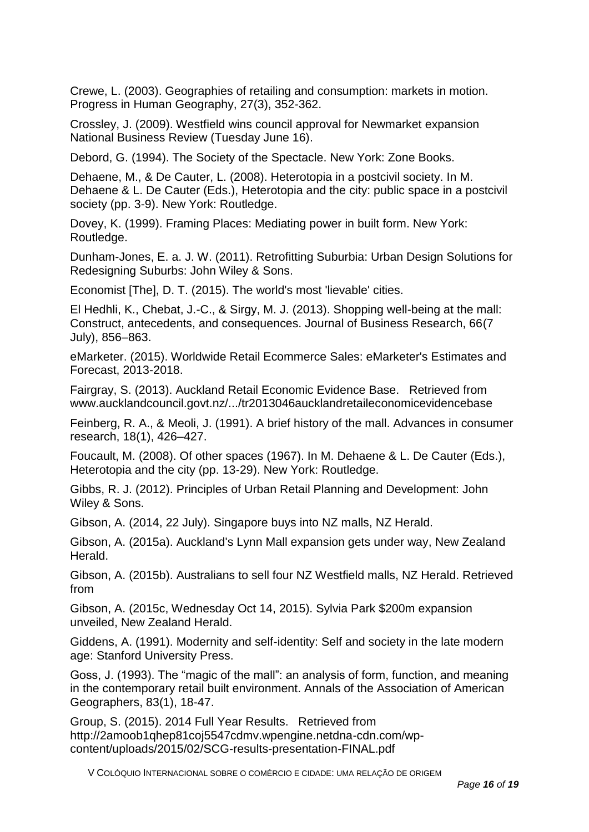Crewe, L. (2003). Geographies of retailing and consumption: markets in motion. Progress in Human Geography, 27(3), 352-362.

Crossley, J. (2009). Westfield wins council approval for Newmarket expansion National Business Review (Tuesday June 16).

Debord, G. (1994). The Society of the Spectacle. New York: Zone Books.

Dehaene, M., & De Cauter, L. (2008). Heterotopia in a postcivil society. In M. Dehaene & L. De Cauter (Eds.), Heterotopia and the city: public space in a postcivil society (pp. 3-9). New York: Routledge.

Dovey, K. (1999). Framing Places: Mediating power in built form. New York: Routledge.

Dunham-Jones, E. a. J. W. (2011). Retrofitting Suburbia: Urban Design Solutions for Redesigning Suburbs: John Wiley & Sons.

Economist [The], D. T. (2015). The world's most 'lievable' cities.

El Hedhli, K., Chebat, J.-C., & Sirgy, M. J. (2013). Shopping well-being at the mall: Construct, antecedents, and consequences. Journal of Business Research, 66(7 July), 856–863.

eMarketer. (2015). Worldwide Retail Ecommerce Sales: eMarketer's Estimates and Forecast, 2013-2018.

Fairgray, S. (2013). Auckland Retail Economic Evidence Base. Retrieved from www.aucklandcouncil.govt.nz/.../tr2013046aucklandretaileconomicevidencebase

Feinberg, R. A., & Meoli, J. (1991). A brief history of the mall. Advances in consumer research, 18(1), 426–427.

Foucault, M. (2008). Of other spaces (1967). In M. Dehaene & L. De Cauter (Eds.), Heterotopia and the city (pp. 13-29). New York: Routledge.

Gibbs, R. J. (2012). Principles of Urban Retail Planning and Development: John Wiley & Sons.

Gibson, A. (2014, 22 July). Singapore buys into NZ malls, NZ Herald.

Gibson, A. (2015a). Auckland's Lynn Mall expansion gets under way, New Zealand Herald.

Gibson, A. (2015b). Australians to sell four NZ Westfield malls, NZ Herald. Retrieved from

Gibson, A. (2015c, Wednesday Oct 14, 2015). Sylvia Park \$200m expansion unveiled, New Zealand Herald.

Giddens, A. (1991). Modernity and self-identity: Self and society in the late modern age: Stanford University Press.

Goss, J. (1993). The "magic of the mall": an analysis of form, function, and meaning in the contemporary retail built environment. Annals of the Association of American Geographers, 83(1), 18-47.

Group, S. (2015). 2014 Full Year Results. Retrieved from http://2amoob1qhep81coj5547cdmv.wpengine.netdna-cdn.com/wpcontent/uploads/2015/02/SCG-results-presentation-FINAL.pdf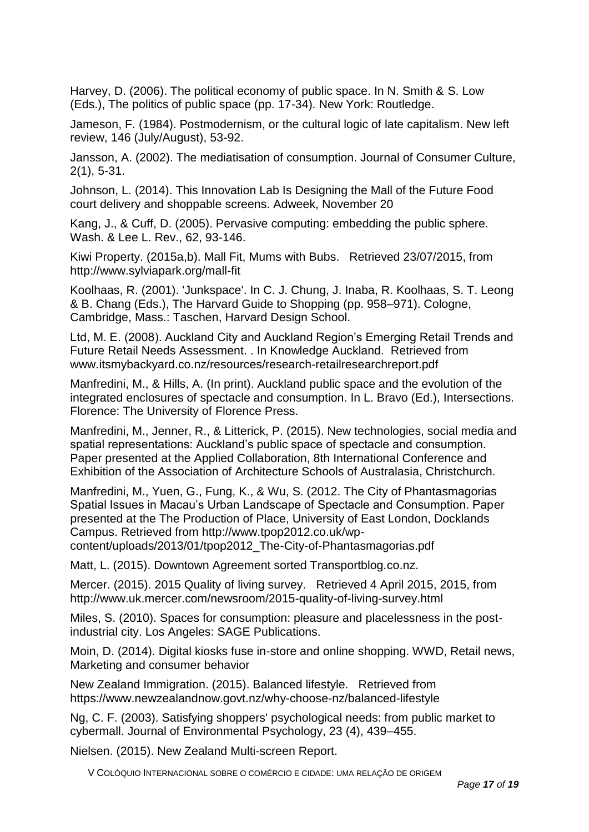Harvey, D. (2006). The political economy of public space. In N. Smith & S. Low (Eds.), The politics of public space (pp. 17-34). New York: Routledge.

Jameson, F. (1984). Postmodernism, or the cultural logic of late capitalism. New left review, 146 (July/August), 53-92.

Jansson, A. (2002). The mediatisation of consumption. Journal of Consumer Culture, 2(1), 5-31.

Johnson, L. (2014). This Innovation Lab Is Designing the Mall of the Future Food court delivery and shoppable screens. Adweek, November 20

Kang, J., & Cuff, D. (2005). Pervasive computing: embedding the public sphere. Wash. & Lee L. Rev., 62, 93-146.

Kiwi Property. (2015a,b). Mall Fit, Mums with Bubs. Retrieved 23/07/2015, from http://www.sylviapark.org/mall-fit

Koolhaas, R. (2001). 'Junkspace'. In C. J. Chung, J. Inaba, R. Koolhaas, S. T. Leong & B. Chang (Eds.), The Harvard Guide to Shopping (pp. 958–971). Cologne, Cambridge, Mass.: Taschen, Harvard Design School.

Ltd, M. E. (2008). Auckland City and Auckland Region's Emerging Retail Trends and Future Retail Needs Assessment. . In Knowledge Auckland. Retrieved from www.itsmybackyard.co.nz/resources/research-retailresearchreport.pdf

Manfredini, M., & Hills, A. (In print). Auckland public space and the evolution of the integrated enclosures of spectacle and consumption. In L. Bravo (Ed.), Intersections. Florence: The University of Florence Press.

Manfredini, M., Jenner, R., & Litterick, P. (2015). New technologies, social media and spatial representations: Auckland's public space of spectacle and consumption. Paper presented at the Applied Collaboration, 8th International Conference and Exhibition of the Association of Architecture Schools of Australasia, Christchurch.

Manfredini, M., Yuen, G., Fung, K., & Wu, S. (2012. The City of Phantasmagorias Spatial Issues in Macau's Urban Landscape of Spectacle and Consumption. Paper presented at the The Production of Place, University of East London, Docklands Campus. Retrieved from http://www.tpop2012.co.uk/wpcontent/uploads/2013/01/tpop2012\_The-City-of-Phantasmagorias.pdf

Matt, L. (2015). Downtown Agreement sorted Transportblog.co.nz.

Mercer. (2015). 2015 Quality of living survey. Retrieved 4 April 2015, 2015, from http://www.uk.mercer.com/newsroom/2015-quality-of-living-survey.html

Miles, S. (2010). Spaces for consumption: pleasure and placelessness in the postindustrial city. Los Angeles: SAGE Publications.

Moin, D. (2014). Digital kiosks fuse in-store and online shopping. WWD, Retail news, Marketing and consumer behavior

New Zealand Immigration. (2015). Balanced lifestyle. Retrieved from https://www.newzealandnow.govt.nz/why-choose-nz/balanced-lifestyle

Ng, C. F. (2003). Satisfying shoppers' psychological needs: from public market to cybermall. Journal of Environmental Psychology, 23 (4), 439–455.

Nielsen. (2015). New Zealand Multi-screen Report.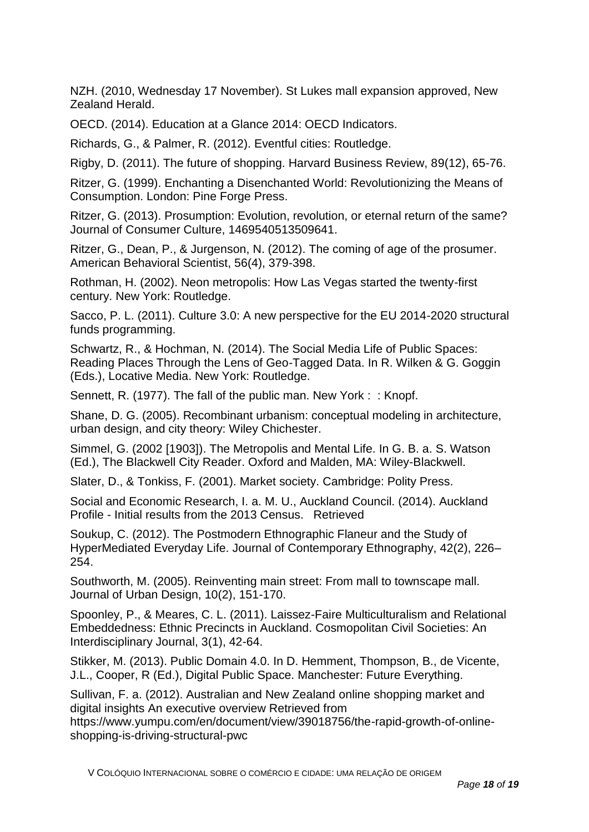NZH. (2010, Wednesday 17 November). St Lukes mall expansion approved, New Zealand Herald.

OECD. (2014). Education at a Glance 2014: OECD Indicators.

Richards, G., & Palmer, R. (2012). Eventful cities: Routledge.

Rigby, D. (2011). The future of shopping. Harvard Business Review, 89(12), 65-76.

Ritzer, G. (1999). Enchanting a Disenchanted World: Revolutionizing the Means of Consumption. London: Pine Forge Press.

Ritzer, G. (2013). Prosumption: Evolution, revolution, or eternal return of the same? Journal of Consumer Culture, 1469540513509641.

Ritzer, G., Dean, P., & Jurgenson, N. (2012). The coming of age of the prosumer. American Behavioral Scientist, 56(4), 379-398.

Rothman, H. (2002). Neon metropolis: How Las Vegas started the twenty-first century. New York: Routledge.

Sacco, P. L. (2011). Culture 3.0: A new perspective for the EU 2014-2020 structural funds programming.

Schwartz, R., & Hochman, N. (2014). The Social Media Life of Public Spaces: Reading Places Through the Lens of Geo-Tagged Data. In R. Wilken & G. Goggin (Eds.), Locative Media. New York: Routledge.

Sennett, R. (1977). The fall of the public man. New York : : Knopf.

Shane, D. G. (2005). Recombinant urbanism: conceptual modeling in architecture, urban design, and city theory: Wiley Chichester.

Simmel, G. (2002 [1903]). The Metropolis and Mental Life. In G. B. a. S. Watson (Ed.), The Blackwell City Reader. Oxford and Malden, MA: Wiley-Blackwell.

Slater, D., & Tonkiss, F. (2001). Market society. Cambridge: Polity Press.

Social and Economic Research, I. a. M. U., Auckland Council. (2014). Auckland Profile - Initial results from the 2013 Census. Retrieved

Soukup, C. (2012). The Postmodern Ethnographic Flaneur and the Study of HyperMediated Everyday Life. Journal of Contemporary Ethnography, 42(2), 226– 254.

Southworth, M. (2005). Reinventing main street: From mall to townscape mall. Journal of Urban Design, 10(2), 151-170.

Spoonley, P., & Meares, C. L. (2011). Laissez-Faire Multiculturalism and Relational Embeddedness: Ethnic Precincts in Auckland. Cosmopolitan Civil Societies: An Interdisciplinary Journal, 3(1), 42-64.

Stikker, M. (2013). Public Domain 4.0. In D. Hemment, Thompson, B., de Vicente, J.L., Cooper, R (Ed.), Digital Public Space. Manchester: Future Everything.

Sullivan, F. a. (2012). Australian and New Zealand online shopping market and digital insights An executive overview Retrieved from

https://www.yumpu.com/en/document/view/39018756/the-rapid-growth-of-onlineshopping-is-driving-structural-pwc